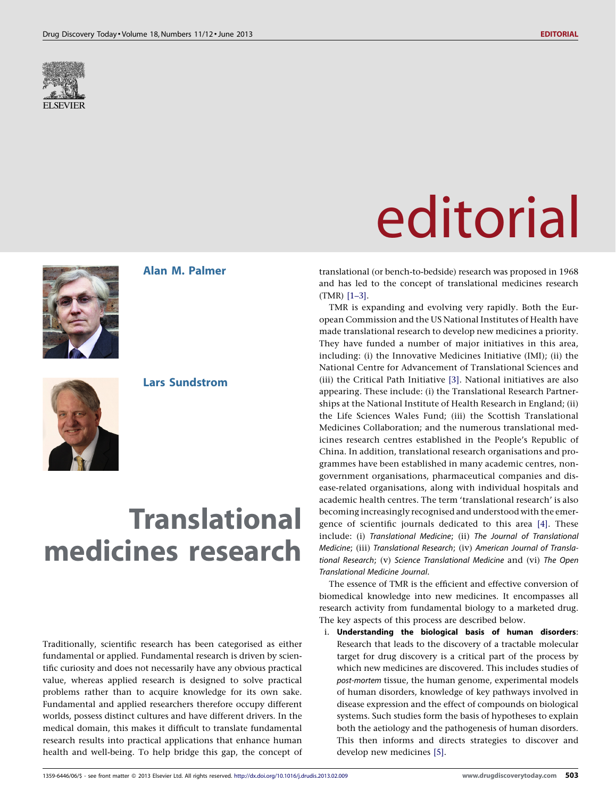



Alan M. Palmer



Lars Sundstrom

## **Translational** medicines research

Traditionally, scientific research has been categorised as either fundamental or applied. Fundamental research is driven by scientific curiosity and does not necessarily have any obvious practical value, whereas applied research is designed to solve practical problems rather than to acquire knowledge for its own sake. Fundamental and applied researchers therefore occupy different worlds, possess distinct cultures and have different drivers. In the medical domain, this makes it difficult to translate fundamental research results into practical applications that enhance human health and well-being. To help bridge this gap, the concept of

## editorial

translational (or bench-to-bedside) research was proposed in 1968 and has led to the concept of translational medicines research (TMR) [\[1–3\].](#page-2-0)

TMR is expanding and evolving very rapidly. Both the European Commission and the US National Institutes of Health have made translational research to develop new medicines a priority. They have funded a number of major initiatives in this area, including: (i) the Innovative Medicines Initiative (IMI); (ii) the National Centre for Advancement of Translational Sciences and (iii) the Critical Path Initiative [\[3\]](#page-2-0). National initiatives are also appearing. These include: (i) the Translational Research Partnerships at the National Institute of Health Research in England; (ii) the Life Sciences Wales Fund; (iii) the Scottish Translational Medicines Collaboration; and the numerous translational medicines research centres established in the People's Republic of China. In addition, translational research organisations and programmes have been established in many academic centres, nongovernment organisations, pharmaceutical companies and disease-related organisations, along with individual hospitals and academic health centres. The term 'translational research' is also becoming increasingly recognised and understood with the emergence of scientific journals dedicated to this area [\[4\]](#page-2-0). These include: (i) Translational Medicine; (ii) The Journal of Translational Medicine; (iii) Translational Research; (iv) American Journal of Translational Research; (v) Science Translational Medicine and (vi) The Open Translational Medicine Journal.

The essence of TMR is the efficient and effective conversion of biomedical knowledge into new medicines. It encompasses all research activity from fundamental biology to a marketed drug. The key aspects of this process are described below.

i. Understanding the biological basis of human disorders: Research that leads to the discovery of a tractable molecular target for drug discovery is a critical part of the process by which new medicines are discovered. This includes studies of post-mortem tissue, the human genome, experimental models of human disorders, knowledge of key pathways involved in disease expression and the effect of compounds on biological systems. Such studies form the basis of hypotheses to explain both the aetiology and the pathogenesis of human disorders. This then informs and directs strategies to discover and develop new medicines [\[5\].](#page-2-0)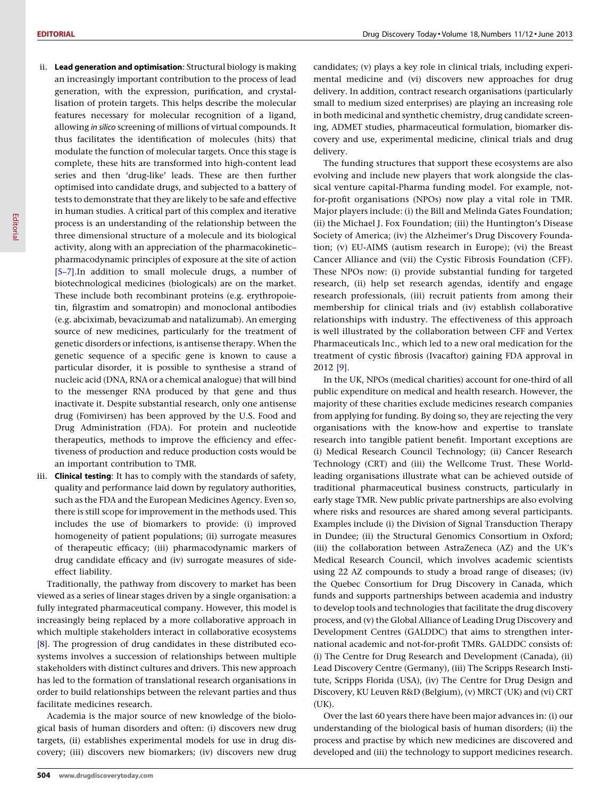- ii. Lead generation and optimisation: Structural biology is making an increasingly important contribution to the process of lead generation, with the expression, purification, and crystallisation of protein targets. This helps describe the molecular features necessary for molecular recognition of a ligand, allowing in silico screening of millions of virtual compounds. It thus facilitates the identification of molecules (hits) that modulate the function of molecular targets. Once this stage is complete, these hits are transformed into high-content lead series and then 'drug-like' leads. These are then further optimised into candidate drugs, and subjected to a battery of tests to demonstrate that they are likely to be safe and effective in human studies. A critical part of this complex and iterative process is an understanding of the relationship between the three dimensional structure of a molecule and its biological activity, along with an appreciation of the pharmacokinetic– pharmacodynamic principles of exposure at the site of action [\[5–7\]](#page-2-0).In addition to small molecule drugs, a number of biotechnological medicines (biologicals) are on the market. These include both recombinant proteins (e.g. erythropoietin, filgrastim and somatropin) and monoclonal antibodies (e.g. abciximab, bevacizumab and natalizumab). An emerging source of new medicines, particularly for the treatment of genetic disorders or infections, is antisense therapy. When the genetic sequence of a specific gene is known to cause a particular disorder, it is possible to synthesise a strand of nucleic acid (DNA, RNA or a chemical analogue) that will bind to the messenger RNA produced by that gene and thus inactivate it. Despite substantial research, only one antisense drug (Fomivirsen) has been approved by the U.S. Food and Drug Administration (FDA). For protein and nucleotide therapeutics, methods to improve the efficiency and effectiveness of production and reduce production costs would be an important contribution to TMR.
- iii. Clinical testing: It has to comply with the standards of safety, quality and performance laid down by regulatory authorities, such as the FDA and the European Medicines Agency. Even so, there is still scope for improvement in the methods used. This includes the use of biomarkers to provide: (i) improved homogeneity of patient populations; (ii) surrogate measures of therapeutic efficacy; (iii) pharmacodynamic markers of drug candidate efficacy and (iv) surrogate measures of sideeffect liability.

Traditionally, the pathway from discovery to market has been viewed as a series of linear stages driven by a single organisation: a fully integrated pharmaceutical company. However, this model is increasingly being replaced by a more collaborative approach in which multiple stakeholders interact in collaborative ecosystems [\[8\]](#page-2-0). The progression of drug candidates in these distributed ecosystems involves a succession of relationships between multiple stakeholders with distinct cultures and drivers. This new approach has led to the formation of translational research organisations in order to build relationships between the relevant parties and thus facilitate medicines research.

Academia is the major source of new knowledge of the biological basis of human disorders and often: (i) discovers new drug targets, (ii) establishes experimental models for use in drug discovery; (iii) discovers new biomarkers; (iv) discovers new drug candidates; (v) plays a key role in clinical trials, including experimental medicine and (vi) discovers new approaches for drug delivery. In addition, contract research organisations (particularly small to medium sized enterprises) are playing an increasing role in both medicinal and synthetic chemistry, drug candidate screening, ADMET studies, pharmaceutical formulation, biomarker discovery and use, experimental medicine, clinical trials and drug delivery.

The funding structures that support these ecosystems are also evolving and include new players that work alongside the classical venture capital-Pharma funding model. For example, notfor-profit organisations (NPOs) now play a vital role in TMR. Major players include: (i) the Bill and Melinda Gates Foundation; (ii) the Michael J. Fox Foundation; (iii) the Huntington's Disease Society of America; (iv) the Alzheimer's Drug Discovery Foundation; (v) EU-AIMS (autism research in Europe); (vi) the Breast Cancer Alliance and (vii) the Cystic Fibrosis Foundation (CFF). These NPOs now: (i) provide substantial funding for targeted research, (ii) help set research agendas, identify and engage research professionals, (iii) recruit patients from among their membership for clinical trials and (iv) establish collaborative relationships with industry. The effectiveness of this approach is well illustrated by the collaboration between CFF and Vertex Pharmaceuticals Inc., which led to a new oral medication for the treatment of cystic fibrosis (Ivacaftor) gaining FDA approval in 2012 [\[9\]](#page-2-0).

In the UK, NPOs (medical charities) account for one-third of all public expenditure on medical and health research. However, the majority of these charities exclude medicines research companies from applying for funding. By doing so, they are rejecting the very organisations with the know-how and expertise to translate research into tangible patient benefit. Important exceptions are (i) Medical Research Council Technology; (ii) Cancer Research Technology (CRT) and (iii) the Wellcome Trust. These Worldleading organisations illustrate what can be achieved outside of traditional pharmaceutical business constructs, particularly in early stage TMR. New public private partnerships are also evolving where risks and resources are shared among several participants. Examples include (i) the Division of Signal Transduction Therapy in Dundee; (ii) the Structural Genomics Consortium in Oxford; (iii) the collaboration between AstraZeneca (AZ) and the UK's Medical Research Council, which involves academic scientists using 22 AZ compounds to study a broad range of diseases; (iv) the Quebec Consortium for Drug Discovery in Canada, which funds and supports partnerships between academia and industry to develop tools and technologies that facilitate the drug discovery process, and (v) the Global Alliance of Leading Drug Discovery and Development Centres (GALDDC) that aims to strengthen international academic and not-for-profit TMRs. GALDDC consists of: (i) The Centre for Drug Research and Development (Canada), (ii) Lead Discovery Centre (Germany), (iii) The Scripps Research Institute, Scripps Florida (USA), (iv) The Centre for Drug Design and Discovery, KU Leuven R&D (Belgium), (v) MRCT (UK) and (vi) CRT (UK).

Over the last 60 years there have been major advances in: (i) our understanding of the biological basis of human disorders; (ii) the process and practise by which new medicines are discovered and developed and (iii) the technology to support medicines research.